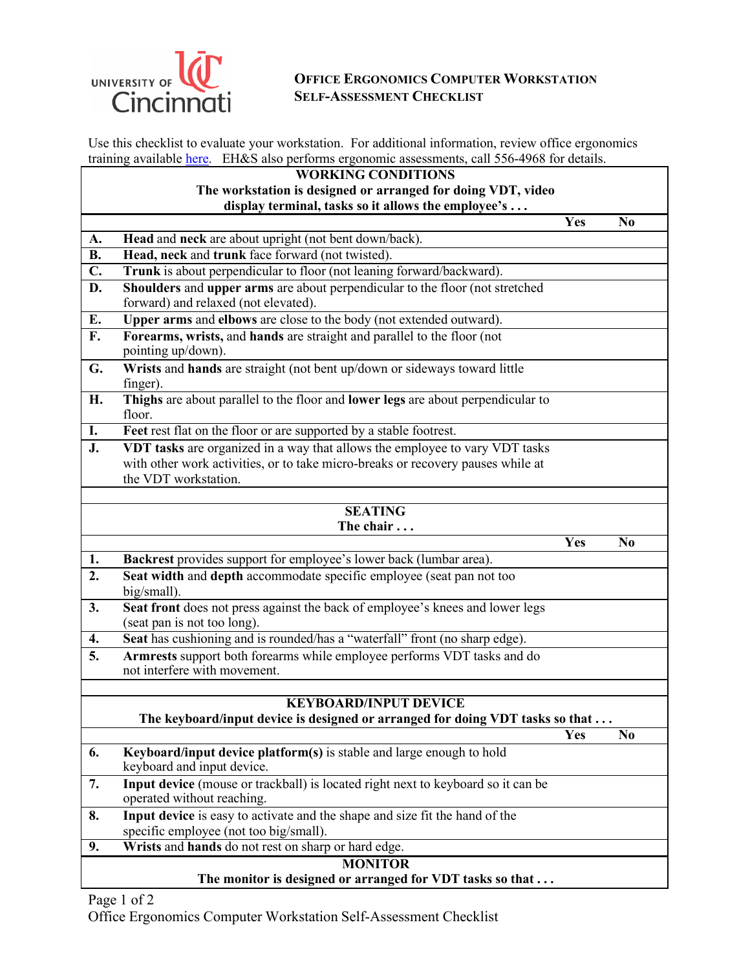

## **OFFICE ERGONOMICS COMPUTER WORKSTATION SELF-ASSESSMENT CHECKLIST**

Use this checklist to evaluate your workstation. For additional information, review office ergonomics training available **here.** EH&S also performs ergonomic assessments, call 556-4968 for details.

## **WORKING CONDITIONS**

## **The workstation is designed or arranged for doing VDT, video display terminal, tasks so it allows the employee's . . .**

|                  |                                                                                                         | Yes        | N <sub>0</sub> |
|------------------|---------------------------------------------------------------------------------------------------------|------------|----------------|
| A.               | Head and neck are about upright (not bent down/back).                                                   |            |                |
| $\overline{B}$ . | Head, neck and trunk face forward (not twisted).                                                        |            |                |
| $\overline{C}$ . | Trunk is about perpendicular to floor (not leaning forward/backward).                                   |            |                |
| D.               | Shoulders and upper arms are about perpendicular to the floor (not stretched                            |            |                |
|                  | forward) and relaxed (not elevated).                                                                    |            |                |
| E.               | Upper arms and elbows are close to the body (not extended outward).                                     |            |                |
| F.               | Forearms, wrists, and hands are straight and parallel to the floor (not<br>pointing up/down).           |            |                |
| G.               | Wrists and hands are straight (not bent up/down or sideways toward little<br>finger).                   |            |                |
| H.               | Thighs are about parallel to the floor and lower legs are about perpendicular to<br>floor.              |            |                |
| I.               | Feet rest flat on the floor or are supported by a stable footrest.                                      |            |                |
| J.               | VDT tasks are organized in a way that allows the employee to vary VDT tasks                             |            |                |
|                  | with other work activities, or to take micro-breaks or recovery pauses while at                         |            |                |
|                  | the VDT workstation.                                                                                    |            |                |
|                  | <b>SEATING</b>                                                                                          |            |                |
|                  | The chair                                                                                               |            |                |
|                  |                                                                                                         | <b>Yes</b> | N <sub>0</sub> |
| 1.               | Backrest provides support for employee's lower back (lumbar area).                                      |            |                |
| 2.               | Seat width and depth accommodate specific employee (seat pan not too<br>big/small).                     |            |                |
| 3.               | Seat front does not press against the back of employee's knees and lower legs                           |            |                |
|                  | (seat pan is not too long).                                                                             |            |                |
| 4.               | Seat has cushioning and is rounded/has a "waterfall" front (no sharp edge).                             |            |                |
| 5.               | Armrests support both forearms while employee performs VDT tasks and do<br>not interfere with movement. |            |                |
|                  |                                                                                                         |            |                |
|                  | <b>KEYBOARD/INPUT DEVICE</b>                                                                            |            |                |
|                  | The keyboard/input device is designed or arranged for doing VDT tasks so that                           |            |                |
|                  |                                                                                                         | Yes        | No             |
| 6.               | Keyboard/input device platform(s) is stable and large enough to hold<br>keyboard and input device.      |            |                |
| 7.               | Input device (mouse or trackball) is located right next to keyboard so it can be                        |            |                |
|                  | operated without reaching.                                                                              |            |                |
| 8.               | Input device is easy to activate and the shape and size fit the hand of the                             |            |                |
|                  | specific employee (not too big/small).                                                                  |            |                |
| 9.               | Wrists and hands do not rest on sharp or hard edge.                                                     |            |                |
|                  | <b>MONITOR</b>                                                                                          |            |                |

**The monitor is designed or arranged for VDT tasks so that . . .**

Page 1 of 2

Office Ergonomics Computer Workstation Self-Assessment Checklist